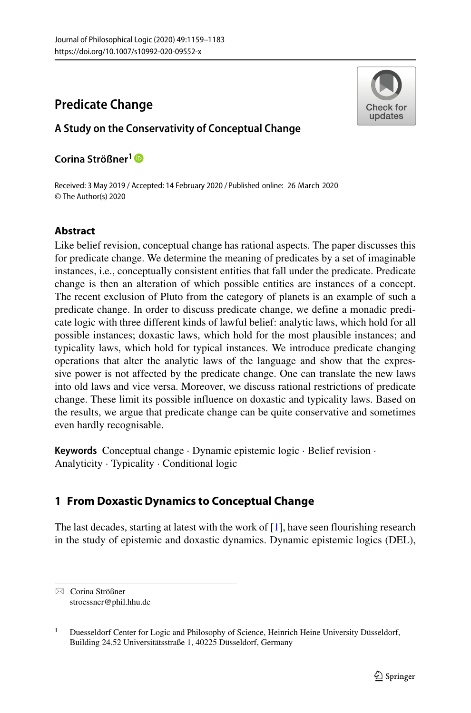# **Predicate Change**

## **A Study on the Conservativity of Conceptual Change**

Check for updates

## **Corina Stroßner ¨ <sup>1</sup>**

Received: 3 May 2019 / Accepted: 14 February 2020 / Published online: 26 March 2020© The Author(s) 2020

## **Abstract**

Like belief revision, conceptual change has rational aspects. The paper discusses this for predicate change. We determine the meaning of predicates by a set of imaginable instances, i.e., conceptually consistent entities that fall under the predicate. Predicate change is then an alteration of which possible entities are instances of a concept. The recent exclusion of Pluto from the category of planets is an example of such a predicate change. In order to discuss predicate change, we define a monadic predicate logic with three different kinds of lawful belief: analytic laws, which hold for all possible instances; doxastic laws, which hold for the most plausible instances; and typicality laws, which hold for typical instances. We introduce predicate changing operations that alter the analytic laws of the language and show that the expressive power is not affected by the predicate change. One can translate the new laws into old laws and vice versa. Moreover, we discuss rational restrictions of predicate change. These limit its possible influence on doxastic and typicality laws. Based on the results, we argue that predicate change can be quite conservative and sometimes even hardly recognisable.

**Keywords** Conceptual change · Dynamic epistemic logic · Belief revision · Analyticity · Typicality · Conditional logic

## **1 From Doxastic Dynamics to Conceptual Change**

The last decades, starting at latest with the work of [\[1\]](#page-23-0), have seen flourishing research in the study of epistemic and doxastic dynamics. Dynamic epistemic logics (DEL),

<sup>⊠</sup> Corina Strößner [stroessner@phil.hhu.de](mailto: stroessner@phil.hhu.de)

<sup>&</sup>lt;sup>1</sup> Duesseldorf Center for Logic and Philosophy of Science, Heinrich Heine University Düsseldorf, Building 24.52 Universitätsstraße 1, 40225 Düsseldorf, Germany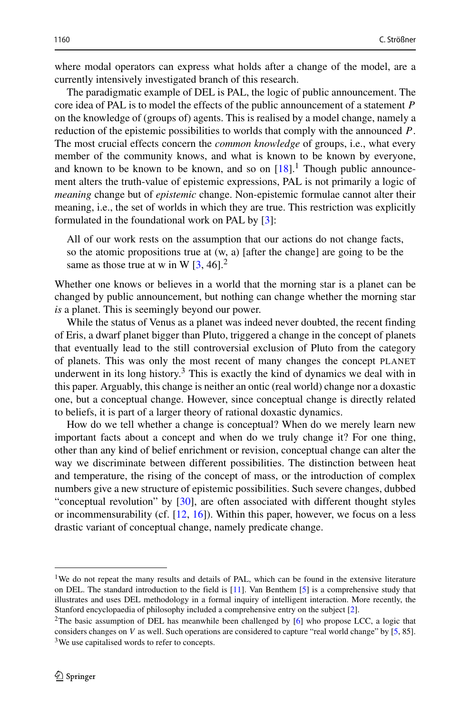where modal operators can express what holds after a change of the model, are a currently intensively investigated branch of this research.

The paradigmatic example of DEL is PAL, the logic of public announcement. The core idea of PAL is to model the effects of the public announcement of a statement *P* on the knowledge of (groups of) agents. This is realised by a model change, namely a reduction of the epistemic possibilities to worlds that comply with the announced *P*. The most crucial effects concern the *common knowledge* of groups, i.e., what every member of the community knows, and what is known to be known by everyone, and known to be known to be known, and so on  $[18]$ .<sup>[1](#page-1-0)</sup> Though public announcement alters the truth-value of epistemic expressions, PAL is not primarily a logic of *meaning* change but of *epistemic* change. Non-epistemic formulae cannot alter their meaning, i.e., the set of worlds in which they are true. This restriction was explicitly formulated in the foundational work on PAL by [\[3\]](#page-23-2):

All of our work rests on the assumption that our actions do not change facts, so the atomic propositions true at (w, a) [after the change] are going to be the same as those true at w in W  $[3, 46]$  $[3, 46]$ <sup>[2](#page-1-1)</sup>

Whether one knows or believes in a world that the morning star is a planet can be changed by public announcement, but nothing can change whether the morning star *is* a planet. This is seemingly beyond our power.

While the status of Venus as a planet was indeed never doubted, the recent finding of Eris, a dwarf planet bigger than Pluto, triggered a change in the concept of planets that eventually lead to the still controversial exclusion of Pluto from the category of planets. This was only the most recent of many changes the concept PLANET underwent in its long history.<sup>3</sup> This is exactly the kind of dynamics we deal with in this paper. Arguably, this change is neither an ontic (real world) change nor a doxastic one, but a conceptual change. However, since conceptual change is directly related to beliefs, it is part of a larger theory of rational doxastic dynamics.

How do we tell whether a change is conceptual? When do we merely learn new important facts about a concept and when do we truly change it? For one thing, other than any kind of belief enrichment or revision, conceptual change can alter the way we discriminate between different possibilities. The distinction between heat and temperature, the rising of the concept of mass, or the introduction of complex numbers give a new structure of epistemic possibilities. Such severe changes, dubbed "conceptual revolution" by  $[30]$ , are often associated with different thought styles or incommensurability (cf. [\[12,](#page-23-3) [16\]](#page-23-4)). Within this paper, however, we focus on a less drastic variant of conceptual change, namely predicate change.

<span id="page-1-0"></span><sup>&</sup>lt;sup>1</sup>We do not repeat the many results and details of PAL, which can be found in the extensive literature on DEL. The standard introduction to the field is [\[11\]](#page-23-5). Van Benthem [\[5\]](#page-23-6) is a comprehensive study that illustrates and uses DEL methodology in a formal inquiry of intelligent interaction. More recently, the Stanford encyclopaedia of philosophy included a comprehensive entry on the subject [\[2\]](#page-23-7).

<span id="page-1-2"></span><span id="page-1-1"></span><sup>&</sup>lt;sup>2</sup>The basic assumption of DEL has meanwhile been challenged by [\[6\]](#page-23-8) who propose LCC, a logic that considers changes on *V* as well. Such operations are considered to capture "real world change" by [\[5,](#page-23-6) 85]. <sup>3</sup>We use capitalised words to refer to concepts.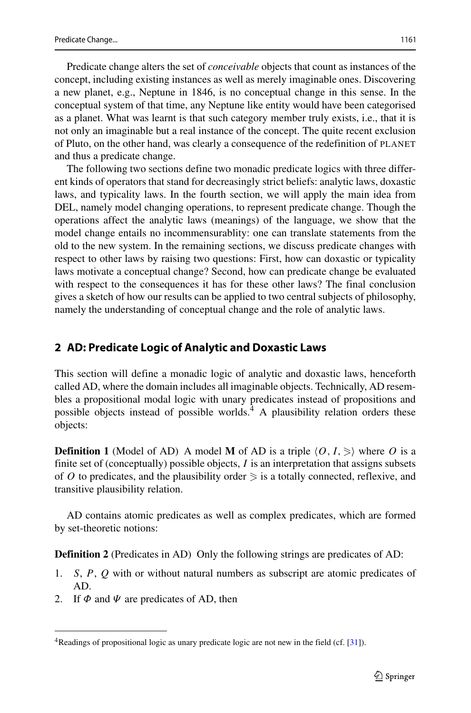Predicate change alters the set of *conceivable* objects that count as instances of the concept, including existing instances as well as merely imaginable ones. Discovering a new planet, e.g., Neptune in 1846, is no conceptual change in this sense. In the conceptual system of that time, any Neptune like entity would have been categorised as a planet. What was learnt is that such category member truly exists, i.e., that it is not only an imaginable but a real instance of the concept. The quite recent exclusion of Pluto, on the other hand, was clearly a consequence of the redefinition of PLANET and thus a predicate change.

The following two sections define two monadic predicate logics with three different kinds of operators that stand for decreasingly strict beliefs: analytic laws, doxastic laws, and typicality laws. In the fourth section, we will apply the main idea from DEL, namely model changing operations, to represent predicate change. Though the operations affect the analytic laws (meanings) of the language, we show that the model change entails no incommensurablity: one can translate statements from the old to the new system. In the remaining sections, we discuss predicate changes with respect to other laws by raising two questions: First, how can doxastic or typicality laws motivate a conceptual change? Second, how can predicate change be evaluated with respect to the consequences it has for these other laws? The final conclusion gives a sketch of how our results can be applied to two central subjects of philosophy, namely the understanding of conceptual change and the role of analytic laws.

### **2 AD: Predicate Logic of Analytic and Doxastic Laws**

This section will define a monadic logic of analytic and doxastic laws, henceforth called AD, where the domain includes all imaginable objects. Technically, AD resembles a propositional modal logic with unary predicates instead of propositions and possible objects instead of possible worlds. $4$  A plausibility relation orders these objects:

**Definition 1** (Model of AD) A model **M** of AD is a triple  $\langle 0, I, \rangle$  where O is a finite set of (conceptually) possible objects, *I* is an interpretation that assigns subsets of  $O$  to predicates, and the plausibility order  $\geq$  is a totally connected, reflexive, and transitive plausibility relation.

AD contains atomic predicates as well as complex predicates, which are formed by set-theoretic notions:

**Definition 2** (Predicates in AD) Only the following strings are predicates of AD:

- 1. *S*, *P*, *Q* with or without natural numbers as subscript are atomic predicates of AD.
- 2. If  $\Phi$  and  $\Psi$  are predicates of AD, then

<span id="page-2-0"></span><sup>&</sup>lt;sup>4</sup>Readings of propositional logic as unary predicate logic are not new in the field (cf.  $[31]$ ).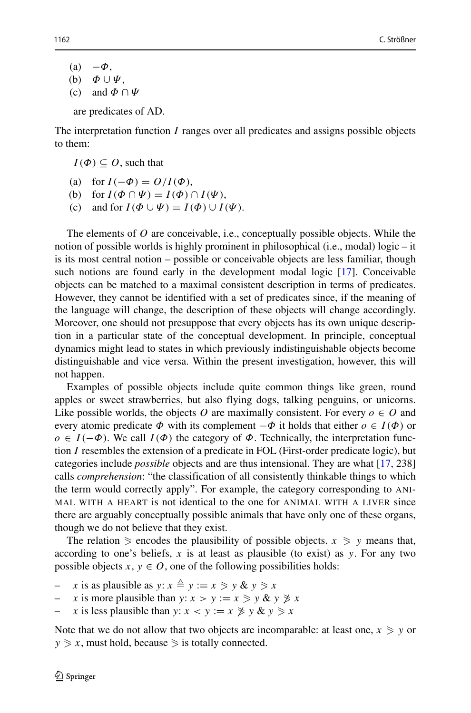- $(a) -\Phi$ , (b) *Φ* ∪ *Ψ*,
- (c) and *Φ* ∩ *Ψ*

are predicates of AD.

The interpretation function *I* ranges over all predicates and assigns possible objects to them:

 $I(\Phi) \subseteq O$ , such that

- (a) for  $I(-\Phi) = O/I(\Phi)$ ,
- (b) for  $I(\Phi \cap \Psi) = I(\Phi) \cap I(\Psi)$ ,
- (c) and for  $I(\Phi \cup \Psi) = I(\Phi) \cup I(\Psi)$ .

The elements of *O* are conceivable, i.e., conceptually possible objects. While the notion of possible worlds is highly prominent in philosophical (i.e., modal) logic – it is its most central notion – possible or conceivable objects are less familiar, though such notions are found early in the development modal logic [\[17\]](#page-23-9). Conceivable objects can be matched to a maximal consistent description in terms of predicates. However, they cannot be identified with a set of predicates since, if the meaning of the language will change, the description of these objects will change accordingly. Moreover, one should not presuppose that every objects has its own unique description in a particular state of the conceptual development. In principle, conceptual dynamics might lead to states in which previously indistinguishable objects become distinguishable and vice versa. Within the present investigation, however, this will not happen.

Examples of possible objects include quite common things like green, round apples or sweet strawberries, but also flying dogs, talking penguins, or unicorns. Like possible worlds, the objects *O* are maximally consistent. For every  $o \in O$  and every atomic predicate  $\Phi$  with its complement  $-\Phi$  it holds that either  $o \in I(\Phi)$  or  $o \in I(-\Phi)$ . We call  $I(\Phi)$  the category of  $\Phi$ . Technically, the interpretation function *I* resembles the extension of a predicate in FOL (First-order predicate logic), but categories include *possible* objects and are thus intensional. They are what [\[17,](#page-23-9) 238] calls *comprehension*: "the classification of all consistently thinkable things to which the term would correctly apply". For example, the category corresponding to ANI-MAL WITH A HEART is not identical to the one for ANIMAL WITH A LIVER since there are arguably conceptually possible animals that have only one of these organs, though we do not believe that they exist.

The relation  $\ge$  encodes the plausibility of possible objects.  $x \ge y$  means that, according to one's beliefs, *x* is at least as plausible (to exist) as *y*. For any two possible objects  $x, y \in O$ , one of the following possibilities holds:

- $\therefore$  *x* is as plausible as  $y: x \triangleq y := x \ge y \& y \ge x$
- $\therefore$  *x* is more plausible than *y*:  $x > y := x \geq y \& y \not\geq x$
- $\therefore$  *x* is less plausible than *y*: *x* < *y* := *x*  $\geq y \& y \geq x$

Note that we do not allow that two objects are incomparable: at least one,  $x \geq y$  or  $y \geq x$ , must hold, because  $\geq$  is totally connected.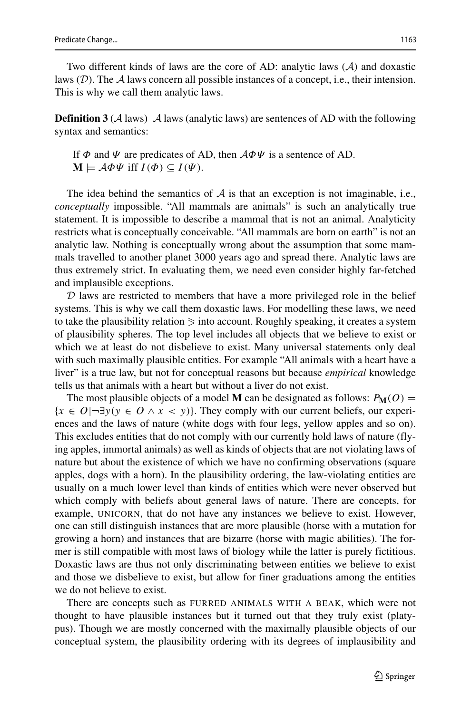Two different kinds of laws are the core of AD: analytic laws (A) and doxastic laws  $(D)$ . The A laws concern all possible instances of a concept, i.e., their intension. This is why we call them analytic laws.

**Definition 3** ( $\mathcal{A}$  laws)  $\mathcal{A}$  laws (analytic laws) are sentences of AD with the following syntax and semantics:

If *Φ* and *Ψ* are predicates of AD, then A*ΦΨ* is a sentence of AD.  $\mathbf{M} \models \mathcal{A}\Phi\Psi$  iff  $I(\Phi) \subseteq I(\Psi)$ .

The idea behind the semantics of  $A$  is that an exception is not imaginable, i.e., *conceptually* impossible. "All mammals are animals" is such an analytically true statement. It is impossible to describe a mammal that is not an animal. Analyticity restricts what is conceptually conceivable. "All mammals are born on earth" is not an analytic law. Nothing is conceptually wrong about the assumption that some mammals travelled to another planet 3000 years ago and spread there. Analytic laws are thus extremely strict. In evaluating them, we need even consider highly far-fetched and implausible exceptions.

 $D$  laws are restricted to members that have a more privileged role in the belief systems. This is why we call them doxastic laws. For modelling these laws, we need to take the plausibility relation  $\geq$  into account. Roughly speaking, it creates a system of plausibility spheres. The top level includes all objects that we believe to exist or which we at least do not disbelieve to exist. Many universal statements only deal with such maximally plausible entities. For example "All animals with a heart have a liver" is a true law, but not for conceptual reasons but because *empirical* knowledge tells us that animals with a heart but without a liver do not exist.

The most plausible objects of a model **M** can be designated as follows:  $P_M(O)$  =  ${x \in O}$ | $\neg \exists y(y \in O \land x < y)$ }. They comply with our current beliefs, our experiences and the laws of nature (white dogs with four legs, yellow apples and so on). This excludes entities that do not comply with our currently hold laws of nature (flying apples, immortal animals) as well as kinds of objects that are not violating laws of nature but about the existence of which we have no confirming observations (square apples, dogs with a horn). In the plausibility ordering, the law-violating entities are usually on a much lower level than kinds of entities which were never observed but which comply with beliefs about general laws of nature. There are concepts, for example, UNICORN, that do not have any instances we believe to exist. However, one can still distinguish instances that are more plausible (horse with a mutation for growing a horn) and instances that are bizarre (horse with magic abilities). The former is still compatible with most laws of biology while the latter is purely fictitious. Doxastic laws are thus not only discriminating between entities we believe to exist and those we disbelieve to exist, but allow for finer graduations among the entities we do not believe to exist.

There are concepts such as FURRED ANIMALS WITH A BEAK, which were not thought to have plausible instances but it turned out that they truly exist (platypus). Though we are mostly concerned with the maximally plausible objects of our conceptual system, the plausibility ordering with its degrees of implausibility and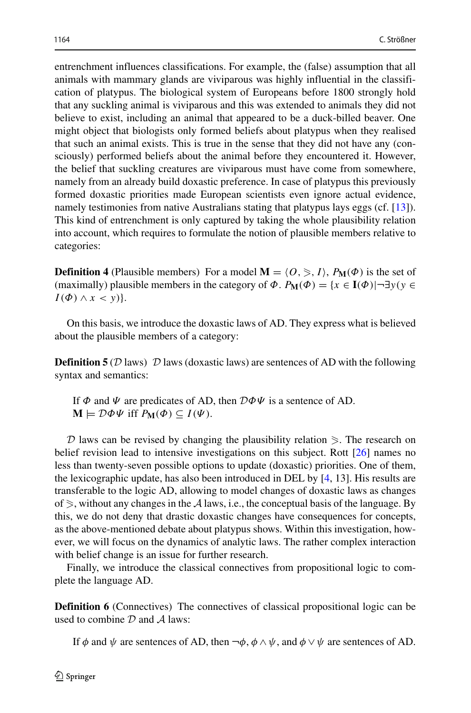entrenchment influences classifications. For example, the (false) assumption that all animals with mammary glands are viviparous was highly influential in the classification of platypus. The biological system of Europeans before 1800 strongly hold that any suckling animal is viviparous and this was extended to animals they did not believe to exist, including an animal that appeared to be a duck-billed beaver. One might object that biologists only formed beliefs about platypus when they realised that such an animal exists. This is true in the sense that they did not have any (consciously) performed beliefs about the animal before they encountered it. However, the belief that suckling creatures are viviparous must have come from somewhere, namely from an already build doxastic preference. In case of platypus this previously formed doxastic priorities made European scientists even ignore actual evidence, namely testimonies from native Australians stating that platypus lays eggs (cf. [\[13\]](#page-23-10)). This kind of entrenchment is only captured by taking the whole plausibility relation into account, which requires to formulate the notion of plausible members relative to categories:

**Definition 4** (Plausible members) For a model  $M = \langle O, \rangle$ ,  $I \rangle$ ,  $P_M(\Phi)$  is the set of (maximally) plausible members in the category of  $\Phi$ .  $P_M(\Phi) = \{x \in I(\Phi) | \neg \exists y(y \in I(\Phi)) | \neg \exists y(y \in I(\Phi)) | \neg \exists y(y \in I(\Phi)) | \neg \exists y(y \in I(\Phi)) | \neg \exists y(y \in I(\Phi)) | \neg \exists y(y \in I(\Phi)) | \neg \exists y(y \in I(\Phi)) | \neg \exists y(y \in I(\Phi)) | \neg \exists y(y \in I(\Phi)) | \neg \exists y(y \in I(\Phi)) | \neg \exists y(y \in I(\Phi)) | \neg \exists y(y$  $I(\Phi) \wedge x < y$ }.

On this basis, we introduce the doxastic laws of AD. They express what is believed about the plausible members of a category:

**Definition 5** (D laws) D laws (doxastic laws) are sentences of AD with the following syntax and semantics:

If *Φ* and *Ψ* are predicates of AD, then D*ΦΨ* is a sentence of AD.  $\mathbf{M} \models \mathcal{D}\Phi\Psi$  iff  $P_{\mathbf{M}}(\Phi) \subseteq I(\Psi)$ .

 $D$  laws can be revised by changing the plausibility relation  $\ge$ . The research on belief revision lead to intensive investigations on this subject. Rott [\[26\]](#page-23-11) names no less than twenty-seven possible options to update (doxastic) priorities. One of them, the lexicographic update, has also been introduced in DEL by [\[4,](#page-23-12) 13]. His results are transferable to the logic AD, allowing to model changes of doxastic laws as changes of  $\ge$ , without any changes in the A laws, i.e., the conceptual basis of the language. By this, we do not deny that drastic doxastic changes have consequences for concepts, as the above-mentioned debate about platypus shows. Within this investigation, however, we will focus on the dynamics of analytic laws. The rather complex interaction with belief change is an issue for further research.

Finally, we introduce the classical connectives from propositional logic to complete the language AD.

**Definition 6** (Connectives) The connectives of classical propositional logic can be used to combine  $D$  and  $A$  laws:

If  $\phi$  and  $\psi$  are sentences of AD, then  $\neg \phi$ ,  $\phi \land \psi$ , and  $\phi \lor \psi$  are sentences of AD.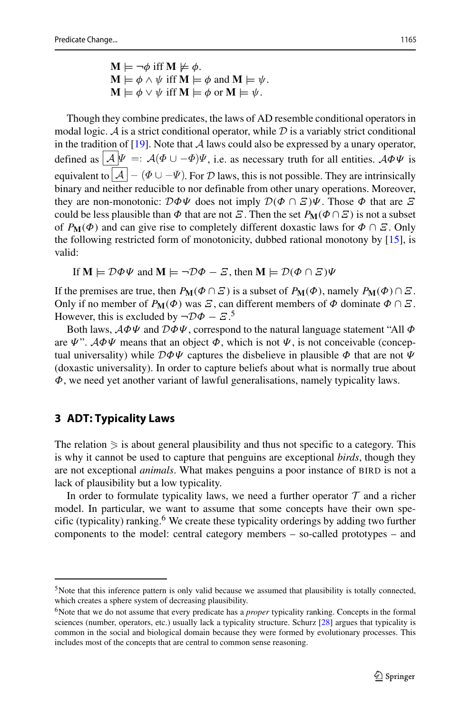$M \models \neg \phi$  iff  $M \not\models \phi$ .  $\mathbf{M} \models \phi \land \psi$  iff  $\mathbf{M} \models \phi$  and  $\mathbf{M} \models \psi$ .  $\mathbf{M} \models \phi \lor \psi$  iff  $\mathbf{M} \models \phi$  or  $\mathbf{M} \models \psi$ .

Though they combine predicates, the laws of AD resemble conditional operators in modal logic. A is a strict conditional operator, while  $D$  is a variably strict conditional in the tradition of [\[19\]](#page-23-13). Note that  $A$  laws could also be expressed by a unary operator, defined as  $\mathcal{A} \Psi =: \mathcal{A}(\Phi \cup -\Phi)\Psi$ , i.e. as necessary truth for all entities.  $\mathcal{A}\Phi\Psi$  is equivalent to  $\boxed{\mathcal{A}} - (\Phi \cup -\Psi)$ . For D laws, this is not possible. They are intrinsically binary and neither reducible to nor definable from other unary operations. Moreover, they are non-monotonic: D*ΦΨ* does not imply D*(Φ* ∩ *Ξ)Ψ*. Those *Φ* that are *Ξ* could be less plausible than  $\Phi$  that are not *Ξ*. Then the set  $P_M(\Phi \cap \Xi)$  is not a subset of  $P_M(\Phi)$  and can give rise to completely different doxastic laws for  $\Phi \cap \mathcal{Z}$ . Only the following restricted form of monotonicity, dubbed rational monotony by [\[15\]](#page-23-14), is valid:

If  $M \models \mathcal{D}\Phi\Psi$  and  $M \models \neg \mathcal{D}\Phi - \mathcal{E}$ , then  $M \models \mathcal{D}(\Phi \cap \mathcal{E})\Psi$ 

If the premises are true, then  $P_{\mathbf{M}}(\Phi \cap \Xi)$  is a subset of  $P_{\mathbf{M}}(\Phi)$ , namely  $P_{\mathbf{M}}(\Phi) \cap \Xi$ . Only if no member of  $P_M(\Phi)$  was  $\mathcal{Z}$ , can different members of  $\Phi$  dominate  $\Phi \cap \mathcal{Z}$ . However, this is excluded by  $\neg \mathcal{D}\Phi - \mathcal{Z}$ .<sup>[5](#page-6-0)</sup>

Both laws, A*ΦΨ* and D*ΦΨ*, correspond to the natural language statement "All *Φ* are *Ψ*". A*ΦΨ* means that an object *Φ*, which is not *Ψ*, is not conceivable (conceptual universality) while D*ΦΨ* captures the disbelieve in plausible *Φ* that are not *Ψ* (doxastic universality). In order to capture beliefs about what is normally true about *Φ*, we need yet another variant of lawful generalisations, namely typicality laws.

### **3 ADT: Typicality Laws**

The relation  $\geq$  is about general plausibility and thus not specific to a category. This is why it cannot be used to capture that penguins are exceptional *birds*, though they are not exceptional *animals*. What makes penguins a poor instance of BIRD is not a lack of plausibility but a low typicality.

In order to formulate typicality laws, we need a further operator  $\mathcal T$  and a richer model. In particular, we want to assume that some concepts have their own spe-cific (typicality) ranking.<sup>[6](#page-6-1)</sup> We create these typicality orderings by adding two further components to the model: central category members – so-called prototypes – and

<span id="page-6-0"></span> $5$ Note that this inference pattern is only valid because we assumed that plausibility is totally connected, which creates a sphere system of decreasing plausibility.

<span id="page-6-1"></span><sup>&</sup>lt;sup>6</sup>Note that we do not assume that every predicate has a *proper* typicality ranking. Concepts in the formal sciences (number, operators, etc.) usually lack a typicality structure. Schurz [\[28\]](#page-24-2) argues that typicality is common in the social and biological domain because they were formed by evolutionary processes. This includes most of the concepts that are central to common sense reasoning.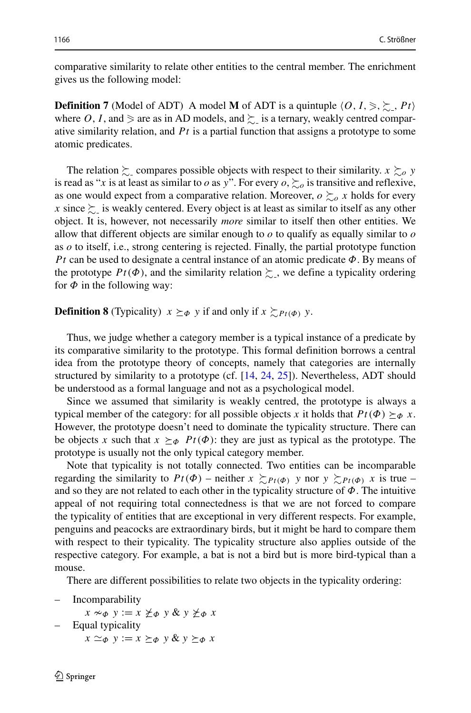comparative similarity to relate other entities to the central member. The enrichment gives us the following model:

**Definition 7** (Model of ADT) A model **M** of ADT is a quintuple  $\langle 0, I, \rangle, \rangle, \rangle, h$ where O, I, and  $\ge$  are as in AD models, and  $\succeq$  is a ternary, weakly centred comparative similarity relation, and *Pt* is a partial function that assigns a prototype to some atomic predicates.

The relation  $\sum$  compares possible objects with respect to their similarity.  $x \sum_{o} y$ is read as "*x* is at least as similar to *o* as *y*". For every  $o, \succeq_o o$  is transitive and reflexive, as one would expect from a comparative relation. Moreover,  $o \succsim_{\alpha} x$  holds for every *x* since  $\succsim$  is weakly centered. Every object is at least as similar to itself as any other object. It is, however, not necessarily *more* similar to itself then other entities. We allow that different objects are similar enough to *o* to qualify as equally similar to *o* as *o* to itself, i.e., strong centering is rejected. Finally, the partial prototype function *Pt* can be used to designate a central instance of an atomic predicate *Φ*. By means of the prototype  $Pt(\Phi)$ , and the similarity relation  $\sum$ , we define a typicality ordering for  $\Phi$  in the following way:

**Definition 8** (Typicality)  $x \succeq_{\phi} y$  if and only if  $x \succeq_{P_t(\phi)} y$ .

Thus, we judge whether a category member is a typical instance of a predicate by its comparative similarity to the prototype. This formal definition borrows a central idea from the prototype theory of concepts, namely that categories are internally structured by similarity to a prototype (cf. [\[14,](#page-23-15) [24,](#page-23-16) [25\]](#page-23-17)). Nevertheless, ADT should be understood as a formal language and not as a psychological model.

Since we assumed that similarity is weakly centred, the prototype is always a typical member of the category: for all possible objects *x* it holds that  $Pt(\Phi) \succeq_{\Phi} x$ . However, the prototype doesn't need to dominate the typicality structure. There can be objects *x* such that  $x \succeq_{\Phi} P_t(\Phi)$ : they are just as typical as the prototype. The prototype is usually not the only typical category member.

Note that typicality is not totally connected. Two entities can be incomparable regarding the similarity to  $Pt(\Phi)$  – neither  $x \gtrsim_{Pt(\Phi)} y$  nor  $y \gtrsim_{Pt(\Phi)} x$  is true – and so they are not related to each other in the typicality structure of *Φ*. The intuitive appeal of not requiring total connectedness is that we are not forced to compare the typicality of entities that are exceptional in very different respects. For example, penguins and peacocks are extraordinary birds, but it might be hard to compare them with respect to their typicality. The typicality structure also applies outside of the respective category. For example, a bat is not a bird but is more bird-typical than a mouse.

There are different possibilities to relate two objects in the typicality ordering:

**Incomparability** 

```
x \sim_\Phi y := x \nleq_\Phi y \& y \nleq_\Phi x
```
- Equal typicality
	- $x \simeq_{\Phi} y := x \succeq_{\Phi} y \& y \succeq_{\Phi} x$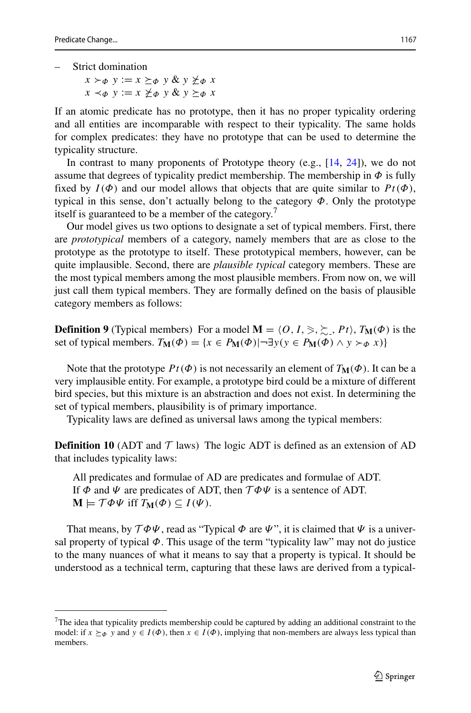- Strict domination
	- $x \succ_{\Phi} y := x \succeq_{\Phi} y \& y \not\geq_{\Phi} x$  $x \prec_{\phi} y := x \not\succ_{\phi} y \& y \succ_{\phi} x$

If an atomic predicate has no prototype, then it has no proper typicality ordering and all entities are incomparable with respect to their typicality. The same holds for complex predicates: they have no prototype that can be used to determine the typicality structure.

In contrast to many proponents of Prototype theory (e.g., [\[14,](#page-23-15) [24\]](#page-23-16)), we do not assume that degrees of typicality predict membership. The membership in  $\Phi$  is fully fixed by  $I(\Phi)$  and our model allows that objects that are quite similar to  $Pt(\Phi)$ , typical in this sense, don't actually belong to the category *Φ*. Only the prototype itself is guaranteed to be a member of the category.<sup>[7](#page-8-0)</sup>

Our model gives us two options to designate a set of typical members. First, there are *prototypical* members of a category, namely members that are as close to the prototype as the prototype to itself. These prototypical members, however, can be quite implausible. Second, there are *plausible typical* category members. These are the most typical members among the most plausible members. From now on, we will just call them typical members. They are formally defined on the basis of plausible category members as follows:

**Definition 9** (Typical members) For a model  $\mathbf{M} = \langle O, I, \succ, \succsim, Pt \rangle$ ,  $T_{\mathbf{M}}(\Phi)$  is the set of typical members.  $T_M(\Phi) = \{x \in P_M(\Phi) | \neg \exists y (y \in P_M(\Phi) \land y \succ_{\Phi} x)\}\$ 

Note that the prototype  $Pt(\Phi)$  is not necessarily an element of  $T_{\mathbf{M}}(\Phi)$ . It can be a very implausible entity. For example, a prototype bird could be a mixture of different bird species, but this mixture is an abstraction and does not exist. In determining the set of typical members, plausibility is of primary importance.

Typicality laws are defined as universal laws among the typical members:

**Definition 10** (ADT and  $\mathcal{T}$  laws) The logic ADT is defined as an extension of AD that includes typicality laws:

All predicates and formulae of AD are predicates and formulae of ADT. If  $\Phi$  and  $\Psi$  are predicates of ADT, then  $\mathcal{T}\Phi\Psi$  is a sentence of ADT.  $\mathbf{M} \models \mathcal{T} \Phi \Psi$  iff  $T_{\mathbf{M}}(\Phi) \subseteq I(\Psi)$ .

That means, by  $\mathcal{T}\Phi\Psi$ , read as "Typical  $\Phi$  are  $\Psi$ ", it is claimed that  $\Psi$  is a universal property of typical  $\Phi$ . This usage of the term "typicality law" may not do justice to the many nuances of what it means to say that a property is typical. It should be understood as a technical term, capturing that these laws are derived from a typical-

<span id="page-8-0"></span><sup>&</sup>lt;sup>7</sup>The idea that typicality predicts membership could be captured by adding an additional constraint to the model: if  $x \succeq_{\phi} y$  and  $y \in I(\phi)$ , then  $x \in I(\phi)$ , implying that non-members are always less typical than members.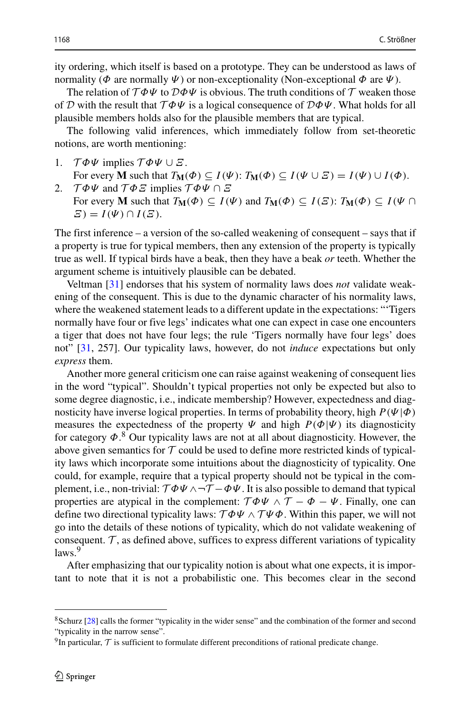ity ordering, which itself is based on a prototype. They can be understood as laws of normality ( $\Phi$  are normally  $\Psi$ ) or non-exceptionality (Non-exceptional  $\Phi$  are  $\Psi$ ).

The relation of  $T\Phi\Psi$  to  $D\Phi\Psi$  is obvious. The truth conditions of  $T$  weaken those of D with the result that T *ΦΨ* is a logical consequence of D*ΦΨ*. What holds for all plausible members holds also for the plausible members that are typical.

The following valid inferences, which immediately follow from set-theoretic notions, are worth mentioning:

- 1. T *ΦΨ* implies T *ΦΨ* ∪ *Ξ*.
- For every **M** such that  $T_{\mathbf{M}}(\Phi) \subseteq I(\Psi)$ :  $T_{\mathbf{M}}(\Phi) \subseteq I(\Psi \cup \mathcal{Z}) = I(\Psi) \cup I(\Phi)$ . 2. T *ΦΨ* and T *ΦΞ* implies T *ΦΨ* ∩ *Ξ*
- For every **M** such that  $T_{\mathbf{M}}(\Phi) \subseteq I(\Psi)$  and  $T_{\mathbf{M}}(\Phi) \subseteq I(\Xi)$ :  $T_{\mathbf{M}}(\Phi) \subseteq I(\Psi \cap \mathcal{M})$  $\mathcal{Z}$ ) =  $I(\Psi) \cap I(\mathcal{Z}).$

The first inference – a version of the so-called weakening of consequent – says that if a property is true for typical members, then any extension of the property is typically true as well. If typical birds have a beak, then they have a beak *or* teeth. Whether the argument scheme is intuitively plausible can be debated.

Veltman [\[31\]](#page-24-1) endorses that his system of normality laws does *not* validate weakening of the consequent. This is due to the dynamic character of his normality laws, where the weakened statement leads to a different update in the expectations: "'Tigers normally have four or five legs' indicates what one can expect in case one encounters a tiger that does not have four legs; the rule 'Tigers normally have four legs' does not" [\[31,](#page-24-1) 257]. Our typicality laws, however, do not *induce* expectations but only *express* them.

Another more general criticism one can raise against weakening of consequent lies in the word "typical". Shouldn't typical properties not only be expected but also to some degree diagnostic, i.e., indicate membership? However, expectedness and diagnosticity have inverse logical properties. In terms of probability theory, high *P(Ψ*|*Φ)* measures the expectedness of the property  $\Psi$  and high  $P(\Phi|\Psi)$  its diagnosticity for category *Φ*. [8](#page-9-0) Our typicality laws are not at all about diagnosticity. However, the above given semantics for  $T$  could be used to define more restricted kinds of typicality laws which incorporate some intuitions about the diagnosticity of typicality. One could, for example, require that a typical property should not be typical in the complement, i.e., non-trivial:  $T\Phi\Psi \wedge \neg T - \Phi\Psi$ . It is also possible to demand that typical properties are atypical in the complement:  $\mathcal{T}\Phi\Psi \wedge \mathcal{T} - \Phi - \Psi$ . Finally, one can define two directional typicality laws:  $\mathcal{T}\Phi\Psi \wedge \mathcal{T}\Psi\Phi$ . Within this paper, we will not go into the details of these notions of typicality, which do not validate weakening of consequent.  $\mathcal T$ , as defined above, suffices to express different variations of typicality  $_{\text{laws}}$ <sup>[9](#page-9-1)</sup>

After emphasizing that our typicality notion is about what one expects, it is important to note that it is not a probabilistic one. This becomes clear in the second

<span id="page-9-0"></span><sup>8</sup>Schurz [\[28\]](#page-24-2) calls the former "typicality in the wider sense" and the combination of the former and second "typicality in the narrow sense".

<span id="page-9-1"></span> $9$ In particular,  $\mathcal T$  is sufficient to formulate different preconditions of rational predicate change.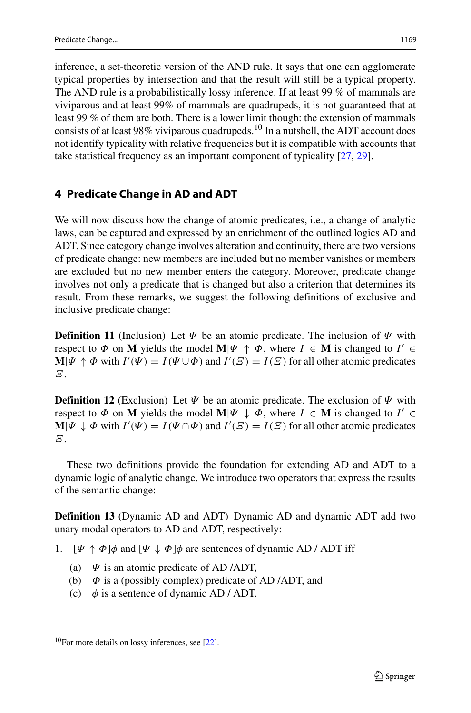inference, a set-theoretic version of the AND rule. It says that one can agglomerate typical properties by intersection and that the result will still be a typical property. The AND rule is a probabilistically lossy inference. If at least 99 % of mammals are viviparous and at least 99% of mammals are quadrupeds, it is not guaranteed that at least 99 % of them are both. There is a lower limit though: the extension of mammals consists of at least 98% viviparous quadrupeds.<sup>[10](#page-10-0)</sup> In a nutshell, the ADT account does not identify typicality with relative frequencies but it is compatible with accounts that take statistical frequency as an important component of typicality [\[27,](#page-23-18) [29\]](#page-24-3).

### **4 Predicate Change in AD and ADT**

We will now discuss how the change of atomic predicates, i.e., a change of analytic laws, can be captured and expressed by an enrichment of the outlined logics AD and ADT. Since category change involves alteration and continuity, there are two versions of predicate change: new members are included but no member vanishes or members are excluded but no new member enters the category. Moreover, predicate change involves not only a predicate that is changed but also a criterion that determines its result. From these remarks, we suggest the following definitions of exclusive and inclusive predicate change:

**Definition 11** (Inclusion) Let *Ψ* be an atomic predicate. The inclusion of *Ψ* with respect to  $\Phi$  on **M** yields the model  $\mathbf{M}|\Psi \uparrow \Phi$ , where  $I \in \mathbf{M}$  is changed to  $I' \in \mathbf{M}$ **M**| $\Psi \uparrow \Phi$  with  $I'(\Psi) = I(\Psi \cup \Phi)$  and  $I'(\Xi) = I(\Xi)$  for all other atomic predicates *Ξ*.

**Definition 12** (Exclusion) Let  $\Psi$  be an atomic predicate. The exclusion of  $\Psi$  with respect to  $\Phi$  on **M** yields the model **M**| $\Psi \downarrow \Phi$ , where  $I \in M$  is changed to  $I' \in$ **M**| $\Psi \downarrow \Phi$  with  $I'(\Psi) = I(\Psi \cap \Phi)$  and  $I'(\Xi) = I(\Xi)$  for all other atomic predicates *Ξ*.

These two definitions provide the foundation for extending AD and ADT to a dynamic logic of analytic change. We introduce two operators that express the results of the semantic change:

**Definition 13** (Dynamic AD and ADT) Dynamic AD and dynamic ADT add two unary modal operators to AD and ADT, respectively:

- 1.  $[\Psi \uparrow \Phi] \phi$  and  $[\Psi \downarrow \Phi] \phi$  are sentences of dynamic AD / ADT iff
	- (a) *Ψ* is an atomic predicate of AD /ADT,
	- (b) *Φ* is a (possibly complex) predicate of AD /ADT, and
	- (c)  $\phi$  is a sentence of dynamic AD / ADT.

<span id="page-10-0"></span> $10$ For more details on lossy inferences, see [\[22\]](#page-23-19).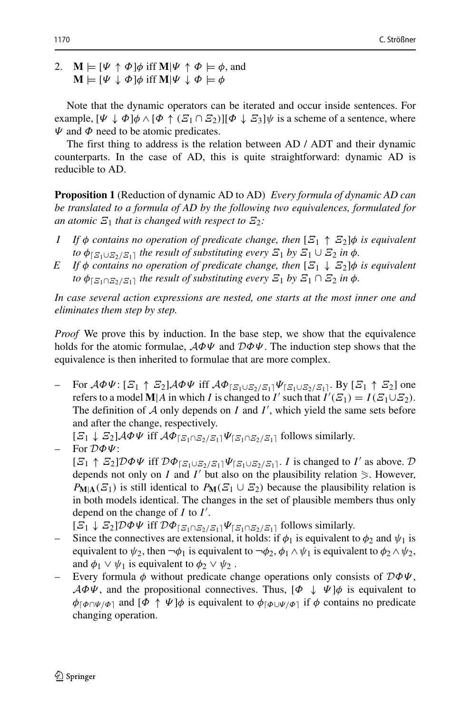2.  $\mathbf{M} \models [\Psi \uparrow \Phi] \phi \text{ iff } \mathbf{M} | \Psi \uparrow \Phi \models \phi \text{, and}$  $M \models [\Psi \downarrow \Phi] \phi$  iff  $M | \Psi \downarrow \Phi \models \phi$ 

Note that the dynamic operators can be iterated and occur inside sentences. For example,  $[\Psi \downarrow \Phi] \phi \wedge [\Phi \uparrow (\mathcal{Z}_1 \cap \mathcal{Z}_2)][\Phi \downarrow \mathcal{Z}_3] \psi$  is a scheme of a sentence, where *Ψ* and *Φ* need to be atomic predicates.

The first thing to address is the relation between AD / ADT and their dynamic counterparts. In the case of AD, this is quite straightforward: dynamic AD is reducible to AD.

**Proposition 1** (Reduction of dynamic AD to AD) *Every formula of dynamic AD can be translated to a formula of AD by the following two equivalences, formulated for an atomic*  $\mathbf{E}_1$  *that is changed with respect to*  $\mathbf{E}_2$ *:* 

- *I If φ contains no operation of predicate change, then* [*Ξ*<sup>1</sup> ↑ *Ξ*2]*φ is equivalent to*  $\phi_{\{E_1 \cup E_2 / E_1\}}$  *the result of substituting every*  $E_1$  *by*  $E_1 \cup E_2$  *in*  $\phi$ *.*
- *E If φ contains no operation of predicate change, then* [*Ξ*<sup>1</sup> ↓ *Ξ*2]*φ is equivalent to*  $\phi_{\lceil \mathcal{Z}_1 \cap \mathcal{Z}_2 / \mathcal{Z}_1 \rceil}$  *the result of substituting every*  $\mathcal{Z}_1$  *by*  $\mathcal{Z}_1 \cap \mathcal{Z}_2$  *in*  $\phi$ *.*

*In case several action expressions are nested, one starts at the most inner one and eliminates them step by step.*

*Proof* We prove this by induction. In the base step, we show that the equivalence holds for the atomic formulae, A*ΦΨ* and D*ΦΨ*. The induction step shows that the equivalence is then inherited to formulae that are more complex.

– For A*ΦΨ*: [*Ξ*<sup>1</sup> ↑ *Ξ*2]A*ΦΨ* iff A*ΦΞ*1∪*Ξ*2*/Ξ*1*ΨΞ*1∪*Ξ*2*/Ξ*1. By [*Ξ*<sup>1</sup> ↑ *Ξ*2] one refers to a model **M**|*A* in which *I* is changed to *I'* such that  $I'(E_1) = I(E_1 \cup E_2)$ . The definition of  $A$  only depends on  $I$  and  $I'$ , which yield the same sets before and after the change, respectively.

 $[E_1 \downarrow E_2]$ *A* $\Phi\Psi$  iff  $A\Phi_{[E_1 \cap E_2/E_1]}\Psi_{[E_1 \cap E_2/E_1]}$  follows similarly.

– For D*ΦΨ*:  $[E_1 \uparrow E_2] \mathcal{D} \Phi \Psi$  iff  $\mathcal{D} \Phi_{[E_1 \cup E_2 / E_1]} \Psi_{[E_1 \cup E_2 / E_1]}$ . *I* is changed to *I'* as above.  $\mathcal{D}$ depends not only on *I* and *I'* but also on the plausibility relation  $\geq$ . However, *P***M**<sub>|</sub>**A**<sup>(*Ξ*<sub>1</sub></sub>) is still identical to *P***M**(*Ξ*<sub>1</sub> ∪ *Ξ*<sub>2</sub>) because the plausibility relation is</sup> in both models identical. The changes in the set of plausible members thus only depend on the change of *I* to *I* .

 $[\mathcal{Z}_1 \downarrow \mathcal{Z}_2] \mathcal{D} \Phi \Psi$  iff  $\mathcal{D} \Phi_{\lceil \mathcal{Z}_1 \cap \mathcal{Z}_2 / \mathcal{Z}_1 \rceil} \Psi_{\lceil \mathcal{Z}_1 \cap \mathcal{Z}_2 / \mathcal{Z}_1 \rceil}$  follows similarly.

- Since the connectives are extensional, it holds: if  $\phi_1$  is equivalent to  $\phi_2$  and  $\psi_1$  is equivalent to  $\psi_2$ , then  $\neg \phi_1$  is equivalent to  $\neg \phi_2$ ,  $\phi_1 \wedge \psi_1$  is equivalent to  $\phi_2 \wedge \psi_2$ , and  $\phi_1 \vee \psi_1$  is equivalent to  $\phi_2 \vee \psi_2$ .
- Every formula *φ* without predicate change operations only consists of D*ΦΨ*,  $\mathcal{A}\Phi\Psi$ , and the propositional connectives. Thus,  $[\Phi \downarrow \Psi]\phi$  is equivalent to  $\phi_{\lceil \phi \cap \Psi/\phi \rceil}$  and  $[\phi \uparrow \Psi]\phi$  is equivalent to  $\phi_{\lceil \phi \cup \Psi/\phi \rceil}$  if  $\phi$  contains no predicate changing operation.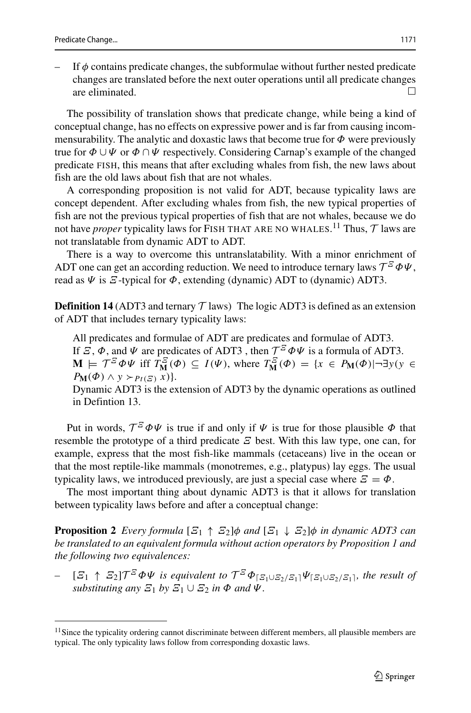in Defintion 13.

If  $\phi$  contains predicate changes, the subformulae without further nested predicate changes are translated before the next outer operations until all predicate changes are eliminated.  $\Box$ 

The possibility of translation shows that predicate change, while being a kind of conceptual change, has no effects on expressive power and is far from causing incommensurability. The analytic and doxastic laws that become true for *Φ* were previously true for *Φ* ∪*Ψ* or *Φ* ∩*Ψ* respectively. Considering Carnap's example of the changed predicate FISH, this means that after excluding whales from fish, the new laws about fish are the old laws about fish that are not whales.

A corresponding proposition is not valid for ADT, because typicality laws are concept dependent. After excluding whales from fish, the new typical properties of fish are not the previous typical properties of fish that are not whales, because we do not have *proper* typicality laws for FISH THAT ARE NO WHALES.  $^{11}$  $^{11}$  $^{11}$  Thus,  $\mathcal T$  laws are not translatable from dynamic ADT to ADT.

There is a way to overcome this untranslatability. With a minor enrichment of ADT one can get an according reduction. We need to introduce ternary laws  $\mathcal{T}^{\mathcal{Z}}\Phi\Psi$ , read as *Ψ* is *Ξ*-typical for *Φ*, extending (dynamic) ADT to (dynamic) ADT3.

**Definition 14** (ADT3 and ternary  $T$  laws) The logic ADT3 is defined as an extension of ADT that includes ternary typicality laws:

All predicates and formulae of ADT are predicates and formulae of ADT3. If *Ξ*,  $\Phi$ , and  $\Psi$  are predicates of ADT3, then  $\mathcal{T}^{\mathcal{Z}}\Phi\Psi$  is a formula of ADT3.  $\mathbf{M} \models \mathcal{T}^{\mathcal{Z}} \Phi \Psi$  iff  $T_{\mathbf{M}}^{\mathcal{Z}}(\Phi) \subseteq I(\Psi)$ , where  $T_{\mathbf{M}}^{\mathcal{Z}}(\Phi) = \{x \in P_{\mathbf{M}}(\Phi) | \neg \exists y (y \in \Psi) \}$  $P_{\mathbf{M}}(\Phi) \wedge y \succ_{P_t(\Xi)} x$  }. Dynamic ADT3 is the extension of ADT3 by the dynamic operations as outlined

Put in words,  $\mathcal{T}^{\mathcal{Z}} \Phi \Psi$  is true if and only if  $\Psi$  is true for those plausible  $\Phi$  that resemble the prototype of a third predicate *Ξ* best. With this law type, one can, for example, express that the most fish-like mammals (cetaceans) live in the ocean or that the most reptile-like mammals (monotremes, e.g., platypus) lay eggs. The usual typicality laws, we introduced previously, are just a special case where  $\mathcal{E} = \Phi$ .

The most important thing about dynamic ADT3 is that it allows for translation between typicality laws before and after a conceptual change:

**Proposition 2** *Every formula*  $[\mathcal{Z}_1 \uparrow \mathcal{Z}_2] \phi$  *and*  $[\mathcal{Z}_1 \downarrow \mathcal{Z}_2] \phi$  *in dynamic ADT3 can be translated to an equivalent formula without action operators by Proposition 1 and the following two equivalences:*

 $[E_1 \uparrow E_2]$  $\mathcal{T}^{\mathcal{Z}}$  $\Phi \Psi$  *is equivalent to*  $\mathcal{T}^{\mathcal{Z}} \Phi_{[\mathcal{Z}_1 \cup \mathcal{Z}_2 / \mathcal{Z}_1]} \Psi_{[\mathcal{Z}_1 \cup \mathcal{Z}_2 / \mathcal{Z}_1]}$ *, the result of substituting any*  $\mathcal{Z}_1$  *by*  $\mathcal{Z}_1 \cup \mathcal{Z}_2$  *in*  $\Phi$  *and*  $\Psi$ *.* 

<span id="page-12-0"></span><sup>&</sup>lt;sup>11</sup> Since the typicality ordering cannot discriminate between different members, all plausible members are typical. The only typicality laws follow from corresponding doxastic laws.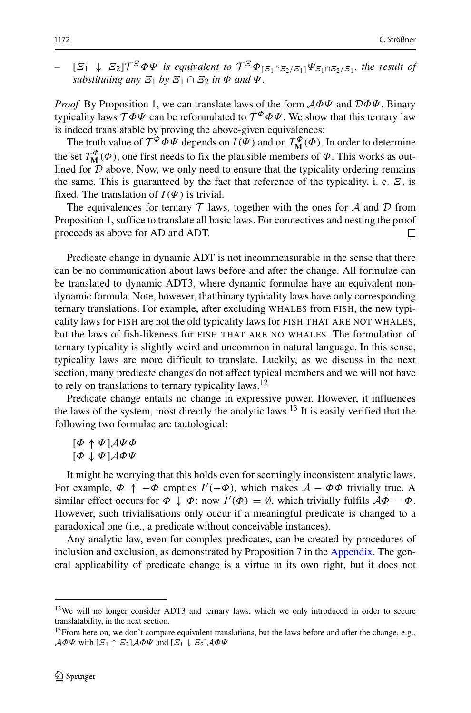$[*Σ*<sub>1</sub>$  *↓*  $\Xi$ <sub>2</sub>] $\mathcal{T}^{\mathcal{Z}}$  $\Phi\Psi$  *is equivalent to*  $\mathcal{T}^{\mathcal{Z}}\Phi_{\{\Xi_1 \cap \Xi_2 / \Xi_1\}}\Psi_{\Xi_1 \cap \Xi_2 / \Xi_1}$ *, the result of substituting any*  $\mathcal{Z}_1$  *by*  $\mathcal{Z}_1 \cap \mathcal{Z}_2$  *in*  $\Phi$  *and*  $\Psi$ *.* 

*Proof* By Proposition 1, we can translate laws of the form A*ΦΨ* and D*ΦΨ*. Binary typicality laws  $T\Phi\Psi$  can be reformulated to  $T^{\Phi}\Phi\Psi$ . We show that this ternary law is indeed translatable by proving the above-given equivalences:

The truth value of  $\mathcal{T}^{\Phi} \Phi \Psi$  depends on  $I(\Psi)$  and on  $T^{\Phi}_{\mathbf{M}}(\Phi)$ . In order to determine the set  $T_{\mathbf{M}}^{\phi}(\phi)$ , one first needs to fix the plausible members of  $\phi$ . This works as outlined for  $D$  above. Now, we only need to ensure that the typicality ordering remains the same. This is guaranteed by the fact that reference of the typicality, i. e.  $\mathcal{Z}$ , is fixed. The translation of  $I(\Psi)$  is trivial.

The equivalences for ternary  $T$  laws, together with the ones for  $A$  and  $D$  from Proposition 1, suffice to translate all basic laws. For connectives and nesting the proof proceeds as above for AD and ADT. П

Predicate change in dynamic ADT is not incommensurable in the sense that there can be no communication about laws before and after the change. All formulae can be translated to dynamic ADT3, where dynamic formulae have an equivalent nondynamic formula. Note, however, that binary typicality laws have only corresponding ternary translations. For example, after excluding WHALES from FISH, the new typicality laws for FISH are not the old typicality laws for FISH THAT ARE NOT WHALES, but the laws of fish-likeness for FISH THAT ARE NO WHALES. The formulation of ternary typicality is slightly weird and uncommon in natural language. In this sense, typicality laws are more difficult to translate. Luckily, as we discuss in the next section, many predicate changes do not affect typical members and we will not have to rely on translations to ternary typicality laws.<sup>12</sup>

Predicate change entails no change in expressive power. However, it influences the laws of the system, most directly the analytic laws.<sup>13</sup> It is easily verified that the following two formulae are tautological:

[*Φ* ↑ *Ψ*]A*Ψ Φ* [*Φ* ↓ *Ψ*]A*ΦΨ*

It might be worrying that this holds even for seemingly inconsistent analytic laws. For example,  $\Phi \uparrow -\Phi$  empties  $I'(-\Phi)$ , which makes  $A - \Phi \Phi$  trivially true. A similar effect occurs for  $\Phi \downarrow \Phi$ : now  $I'(\Phi) = \emptyset$ , which trivially fulfils  $A\Phi - \Phi$ . However, such trivialisations only occur if a meaningful predicate is changed to a paradoxical one (i.e., a predicate without conceivable instances).

Any analytic law, even for complex predicates, can be created by procedures of inclusion and exclusion, as demonstrated by Proposition 7 in the Appendix. The general applicability of predicate change is a virtue in its own right, but it does not

<span id="page-13-0"></span><sup>&</sup>lt;sup>12</sup>We will no longer consider ADT3 and ternary laws, which we only introduced in order to secure translatability, in the next section.

<span id="page-13-1"></span><sup>&</sup>lt;sup>13</sup>From here on, we don't compare equivalent translations, but the laws before and after the change, e.g.,  $\mathcal{A}\Phi\Psi$  with  $[\mathcal{E}_1 \uparrow \mathcal{E}_2]\mathcal{A}\Phi\Psi$  and  $[\mathcal{E}_1 \downarrow \mathcal{E}_2]\mathcal{A}\Phi\Psi$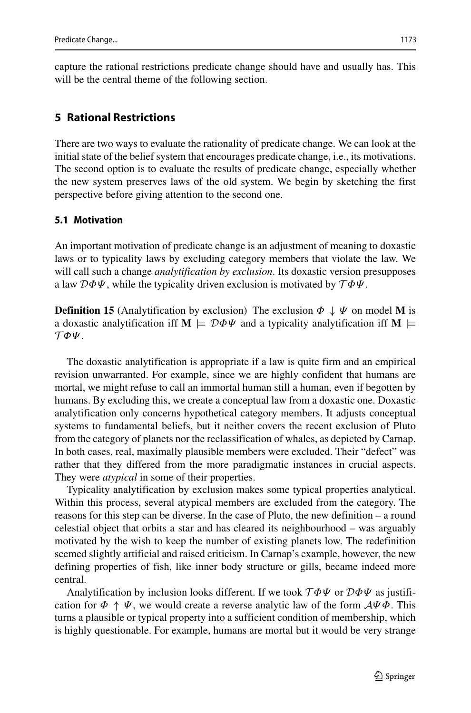capture the rational restrictions predicate change should have and usually has. This will be the central theme of the following section.

## **5 Rational Restrictions**

There are two ways to evaluate the rationality of predicate change. We can look at the initial state of the belief system that encourages predicate change, i.e., its motivations. The second option is to evaluate the results of predicate change, especially whether the new system preserves laws of the old system. We begin by sketching the first perspective before giving attention to the second one.

### **5.1 Motivation**

An important motivation of predicate change is an adjustment of meaning to doxastic laws or to typicality laws by excluding category members that violate the law. We will call such a change *analytification by exclusion*. Its doxastic version presupposes a law D*ΦΨ*, while the typicality driven exclusion is motivated by T *ΦΨ*.

**Definition 15** (Analytification by exclusion) The exclusion  $\Phi \downarrow \Psi$  on model M is a doxastic analytification iff  $M \models D\Phi\Psi$  and a typicality analytification iff M  $\models$ T *ΦΨ*.

The doxastic analytification is appropriate if a law is quite firm and an empirical revision unwarranted. For example, since we are highly confident that humans are mortal, we might refuse to call an immortal human still a human, even if begotten by humans. By excluding this, we create a conceptual law from a doxastic one. Doxastic analytification only concerns hypothetical category members. It adjusts conceptual systems to fundamental beliefs, but it neither covers the recent exclusion of Pluto from the category of planets nor the reclassification of whales, as depicted by Carnap. In both cases, real, maximally plausible members were excluded. Their "defect" was rather that they differed from the more paradigmatic instances in crucial aspects. They were *atypical* in some of their properties.

Typicality analytification by exclusion makes some typical properties analytical. Within this process, several atypical members are excluded from the category. The reasons for this step can be diverse. In the case of Pluto, the new definition – a round celestial object that orbits a star and has cleared its neighbourhood – was arguably motivated by the wish to keep the number of existing planets low. The redefinition seemed slightly artificial and raised criticism. In Carnap's example, however, the new defining properties of fish, like inner body structure or gills, became indeed more central.

Analytification by inclusion looks different. If we took T *ΦΨ* or D*ΦΨ* as justification for  $\Phi \uparrow \Psi$ , we would create a reverse analytic law of the form  $\mathcal{A}\Psi\Phi$ . This turns a plausible or typical property into a sufficient condition of membership, which is highly questionable. For example, humans are mortal but it would be very strange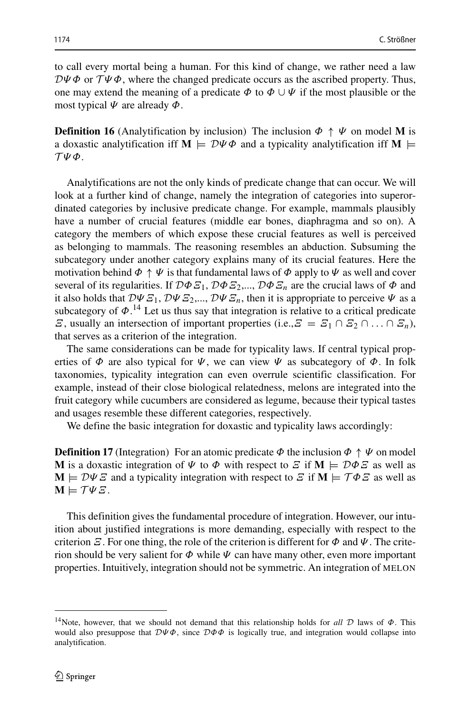to call every mortal being a human. For this kind of change, we rather need a law  $D\Psi\Phi$  or  $\mathcal{T}\Psi\Phi$ , where the changed predicate occurs as the ascribed property. Thus, one may extend the meaning of a predicate  $\Phi$  to  $\Phi \cup \Psi$  if the most plausible or the most typical *Ψ* are already *Φ*.

**Definition 16** (Analytification by inclusion) The inclusion  $\Phi \uparrow \Psi$  on model M is a doxastic analytification iff **M**  $\models D\Psi \Phi$  and a typicality analytification iff **M**  $\models$ T *Ψ Φ*.

Analytifications are not the only kinds of predicate change that can occur. We will look at a further kind of change, namely the integration of categories into superordinated categories by inclusive predicate change. For example, mammals plausibly have a number of crucial features (middle ear bones, diaphragma and so on). A category the members of which expose these crucial features as well is perceived as belonging to mammals. The reasoning resembles an abduction. Subsuming the subcategory under another category explains many of its crucial features. Here the motivation behind  $\Phi \uparrow \Psi$  is that fundamental laws of  $\Phi$  apply to  $\Psi$  as well and cover several of its regularities. If  $D\Phi \mathcal{E}_1$ ,  $D\Phi \mathcal{E}_2$ ,...,  $D\Phi \mathcal{E}_n$  are the crucial laws of  $\Phi$  and it also holds that  $D\Psi \mathcal{E}_1, D\Psi \mathcal{E}_2, ..., D\Psi \mathcal{E}_n$ , then it is appropriate to perceive  $\Psi$  as a subcategory of  $\Phi$ <sup>[14](#page-15-0)</sup>. Let us thus say that integration is relative to a critical predicate *Ξ*, usually an intersection of important properties (i.e.,  $\overline{z} = \overline{z_1} \cap \overline{z_2} \cap \dots \cap \overline{z_n}$ ), that serves as a criterion of the integration.

The same considerations can be made for typicality laws. If central typical properties of  $\Phi$  are also typical for  $\Psi$ , we can view  $\Psi$  as subcategory of  $\Phi$ . In folk taxonomies, typicality integration can even overrule scientific classification. For example, instead of their close biological relatedness, melons are integrated into the fruit category while cucumbers are considered as legume, because their typical tastes and usages resemble these different categories, respectively.

We define the basic integration for doxastic and typicality laws accordingly:

**Definition 17** (Integration) For an atomic predicate  $\Phi$  the inclusion  $\Phi \uparrow \Psi$  on model **M** is a doxastic integration of  $\Psi$  to  $\Phi$  with respect to  $\Xi$  if  $M \models \mathcal{D}\Phi\Xi$  as well as  $M \models D \Psi E$  and a typicality integration with respect to  $E$  if  $M \models \mathcal{T} \Phi E$  as well as  $\mathbf{M} \models \mathcal{T} \Psi \mathcal{Z}$ .

This definition gives the fundamental procedure of integration. However, our intuition about justified integrations is more demanding, especially with respect to the criterion  $\mathcal E$ . For one thing, the role of the criterion is different for  $\Phi$  and  $\Psi$ . The criterion should be very salient for *Φ* while *Ψ* can have many other, even more important properties. Intuitively, integration should not be symmetric. An integration of MELON

<span id="page-15-0"></span><sup>14</sup>Note, however, that we should not demand that this relationship holds for *all* D laws of *Φ*. This would also presuppose that D*Ψ Φ*, since D*ΦΦ* is logically true, and integration would collapse into analytification.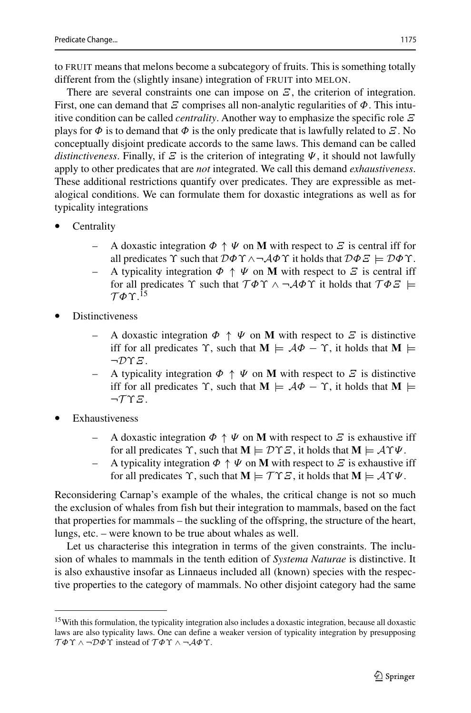to FRUIT means that melons become a subcategory of fruits. This is something totally different from the (slightly insane) integration of FRUIT into MELON.

There are several constraints one can impose on *Ξ*, the criterion of integration. First, one can demand that *Ξ* comprises all non-analytic regularities of *Φ*. This intuitive condition can be called *centrality*. Another way to emphasize the specific role *Ξ* plays for  $\Phi$  is to demand that  $\Phi$  is the only predicate that is lawfully related to  $\mathcal{E}$ . No conceptually disjoint predicate accords to the same laws. This demand can be called *distinctiveness.* Finally, if  $\mathcal{Z}$  is the criterion of integrating  $\Psi$ , it should not lawfully apply to other predicates that are *not* integrated. We call this demand *exhaustiveness*. These additional restrictions quantify over predicates. They are expressible as metalogical conditions. We can formulate them for doxastic integrations as well as for typicality integrations

- **Centrality** 
	- A doxastic integration  $\Phi \uparrow \Psi$  on **M** with respect to *Ξ* is central iff for all predicates *ϒ* such that D*Φϒ* ∧¬A*Φϒ* it holds that D*ΦΞ* |= D*Φϒ*.
	- A typicality integration  $\Phi \uparrow \Psi$  on **M** with respect to *Ξ* is central iff for all predicates  $\Upsilon$  such that  $\mathcal{T}\Phi\Upsilon \wedge \neg \mathcal{A}\Phi\Upsilon$  it holds that  $\mathcal{T}\Phi\Xi \models$  $T$ *Φ* Υ $^{15}$  $^{15}$  $^{15}$
- **Distinctiveness** 
	- A doxastic integration  $\Phi \uparrow \Psi$  on **M** with respect to *Ξ* is distinctive iff for all predicates  $\Upsilon$ , such that  $M \models A\Phi - \Upsilon$ , it holds that  $M \models$ ¬D*ϒΞ*.
	- A typicality integration  $\Phi \uparrow \Psi$  on **M** with respect to *Ξ* is distinctive iff for all predicates  $\Upsilon$ , such that  $M \models A\Phi - \Upsilon$ , it holds that  $M \models$ ¬T *ϒΞ*.
- **Exhaustiveness** 
	- A doxastic integration  $\Phi \uparrow \Psi$  on M with respect to *Ξ* is exhaustive iff for all predicates  $\Upsilon$ , such that  $M \models \mathcal{D}\Upsilon \mathcal{E}$ , it holds that  $M \models \mathcal{A}\Upsilon\Psi$ .
	- A typicality integration  $\Phi \uparrow \Psi$  on **M** with respect to *Ξ* is exhaustive iff for all predicates  $\Upsilon$ , such that  $M \models \mathcal{T} \Upsilon \mathcal{Z}$ , it holds that  $M \models \mathcal{A} \Upsilon \Psi$ .

Reconsidering Carnap's example of the whales, the critical change is not so much the exclusion of whales from fish but their integration to mammals, based on the fact that properties for mammals – the suckling of the offspring, the structure of the heart, lungs, etc. – were known to be true about whales as well.

Let us characterise this integration in terms of the given constraints. The inclusion of whales to mammals in the tenth edition of *Systema Naturae* is distinctive. It is also exhaustive insofar as Linnaeus included all (known) species with the respective properties to the category of mammals. No other disjoint category had the same

<span id="page-16-0"></span><sup>&</sup>lt;sup>15</sup>With this formulation, the typicality integration also includes a doxastic integration, because all doxastic laws are also typicality laws. One can define a weaker version of typicality integration by presupposing T *Φϒ* ∧ ¬D*Φϒ* instead of T *Φϒ* ∧ ¬A*Φϒ*.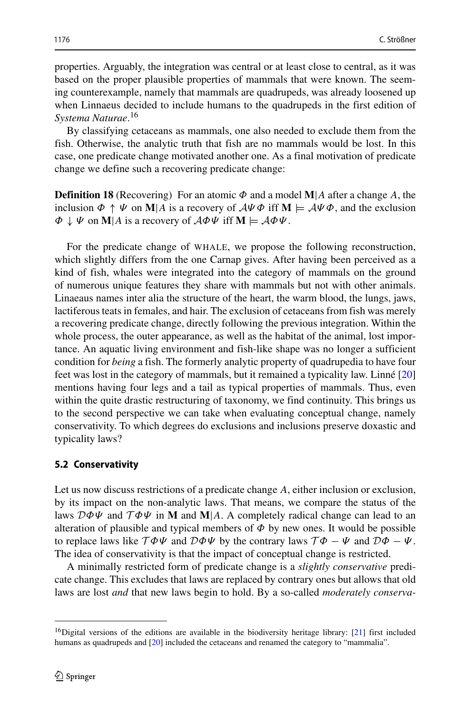properties. Arguably, the integration was central or at least close to central, as it was based on the proper plausible properties of mammals that were known. The seeming counterexample, namely that mammals are quadrupeds, was already loosened up when Linnaeus decided to include humans to the quadrupeds in the first edition of *Systema Naturae*. [16](#page-17-0)

By classifying cetaceans as mammals, one also needed to exclude them from the fish. Otherwise, the analytic truth that fish are no mammals would be lost. In this case, one predicate change motivated another one. As a final motivation of predicate change we define such a recovering predicate change:

**Definition 18** (Recovering) For an atomic *Φ* and a model **M**|*A* after a change *A*, the inclusion  $\Phi \uparrow \Psi$  on **M**|*A* is a recovery of  $A\Psi \Phi$  iff **M**  $\models A\Psi \Phi$ , and the exclusion *Φ* ↓ *Ψ* on **M**|*A* is a recovery of A*ΦΨ* iff **M** |= A*ΦΨ*.

For the predicate change of WHALE, we propose the following reconstruction, which slightly differs from the one Carnap gives. After having been perceived as a kind of fish, whales were integrated into the category of mammals on the ground of numerous unique features they share with mammals but not with other animals. Linaeaus names inter alia the structure of the heart, the warm blood, the lungs, jaws, lactiferous teats in females, and hair. The exclusion of cetaceans from fish was merely a recovering predicate change, directly following the previous integration. Within the whole process, the outer appearance, as well as the habitat of the animal, lost importance. An aquatic living environment and fish-like shape was no longer a sufficient condition for *being* a fish. The formerly analytic property of quadrupedia to have four feet was lost in the category of mammals, but it remained a typicality law. Linné  $[20]$  $[20]$ mentions having four legs and a tail as typical properties of mammals. Thus, even within the quite drastic restructuring of taxonomy, we find continuity. This brings us to the second perspective we can take when evaluating conceptual change, namely conservativity. To which degrees do exclusions and inclusions preserve doxastic and typicality laws?

#### **5.2 Conservativity**

Let us now discuss restrictions of a predicate change *A*, either inclusion or exclusion, by its impact on the non-analytic laws. That means, we compare the status of the laws  $\mathcal{D}\Phi\Psi$  and  $\mathcal{T}\Phi\Psi$  in **M** and **M**|*A*. A completely radical change can lead to an alteration of plausible and typical members of  $\Phi$  by new ones. It would be possible to replace laws like  $T\Phi\Psi$  and  $D\Phi\Psi$  by the contrary laws  $T\Phi - \Psi$  and  $D\Phi - \Psi$ . The idea of conservativity is that the impact of conceptual change is restricted.

A minimally restricted form of predicate change is a *slightly conservative* predicate change. This excludes that laws are replaced by contrary ones but allows that old laws are lost *and* that new laws begin to hold. By a so-called *moderately conserva-*

<span id="page-17-0"></span><sup>&</sup>lt;sup>16</sup>Digital versions of the editions are available in the biodiversity heritage library: [\[21\]](#page-23-21) first included humans as quadrupeds and [\[20\]](#page-23-20) included the cetaceans and renamed the category to "mammalia".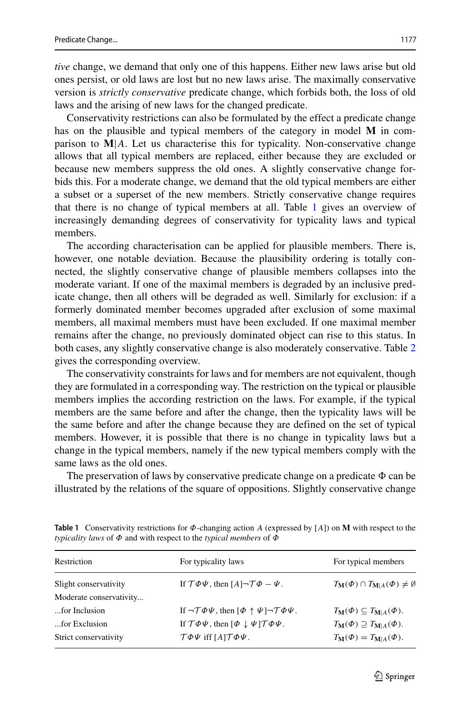1177

ones persist, or old laws are lost but no new laws arise. The maximally conservative version is *strictly conservative* predicate change, which forbids both, the loss of old laws and the arising of new laws for the changed predicate.

Conservativity restrictions can also be formulated by the effect a predicate change has on the plausible and typical members of the category in model **M** in comparison to  $M/A$ . Let us characterise this for typicality. Non-conservative change allows that all typical members are replaced, either because they are excluded or because new members suppress the old ones. A slightly conservative change forbids this. For a moderate change, we demand that the old typical members are either a subset or a superset of the new members. Strictly conservative change requires that there is no change of typical members at all. Table [1](#page-18-0) gives an overview of increasingly demanding degrees of conservativity for typicality laws and typical members.

The according characterisation can be applied for plausible members. There is, however, one notable deviation. Because the plausibility ordering is totally connected, the slightly conservative change of plausible members collapses into the moderate variant. If one of the maximal members is degraded by an inclusive predicate change, then all others will be degraded as well. Similarly for exclusion: if a formerly dominated member becomes upgraded after exclusion of some maximal members, all maximal members must have been excluded. If one maximal member remains after the change, no previously dominated object can rise to this status. In both cases, any slightly conservative change is also moderately conservative. Table [2](#page-19-0) gives the corresponding overview.

The conservativity constraints for laws and for members are not equivalent, though they are formulated in a corresponding way. The restriction on the typical or plausible members implies the according restriction on the laws. For example, if the typical members are the same before and after the change, then the typicality laws will be the same before and after the change because they are defined on the set of typical members. However, it is possible that there is no change in typicality laws but a change in the typical members, namely if the new typical members comply with the same laws as the old ones.

The preservation of laws by conservative predicate change on a predicate  $\Phi$  can be illustrated by the relations of the square of oppositions. Slightly conservative change

| For typicality laws                                                                        | For typical members                                               |
|--------------------------------------------------------------------------------------------|-------------------------------------------------------------------|
| If $\mathcal{T}\Phi\Psi$ , then $[A] \neg \mathcal{T}\Phi - \Psi$ .                        | $T_{\mathbf{M}}(\Phi) \cap T_{\mathbf{M} A}(\Phi) \neq \emptyset$ |
|                                                                                            |                                                                   |
| If $\neg \mathcal{T} \Phi \Psi$ , then $[\Phi \uparrow \Psi] \neg \mathcal{T} \Phi \Psi$ . | $T_{\mathbf{M}}(\Phi) \subseteq T_{\mathbf{M} A}(\Phi).$          |
| If $\mathcal{T}\Phi\Psi$ , then $[\Phi \downarrow \Psi] \mathcal{T}\Phi\Psi$ .             | $T_{\mathbf{M}}(\Phi) \supseteq T_{\mathbf{M} A}(\Phi).$          |
| $\mathcal{T}\Phi\Psi$ iff $[A]\mathcal{T}\Phi\Psi$ .                                       | $T_{\mathbf{M}}(\Phi) = T_{\mathbf{M} A}(\Phi).$                  |
|                                                                                            |                                                                   |

<span id="page-18-0"></span>**Table 1** Conservativity restrictions for *Φ*-changing action *A* (expressed by [*A*]) on **M** with respect to the *typicality laws* of *Φ* and with respect to the *typical members* of *Φ*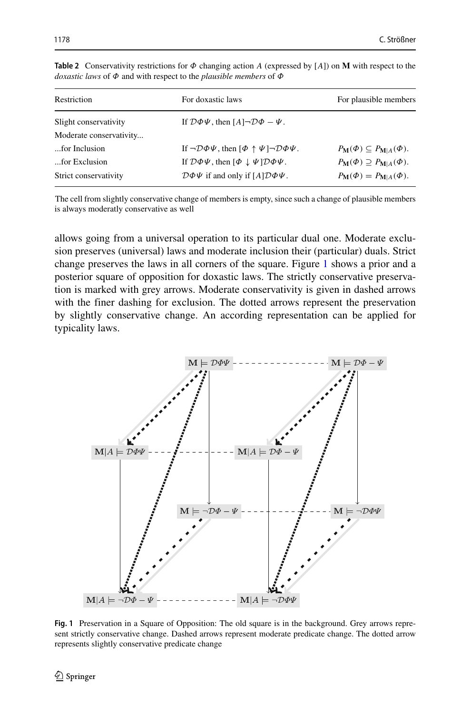| For doxastic laws                                                                        | For plausible members                                    |
|------------------------------------------------------------------------------------------|----------------------------------------------------------|
| If $\mathcal{D}\Phi\Psi$ , then $[A] \neg \mathcal{D}\Phi - \Psi$ .                      |                                                          |
|                                                                                          |                                                          |
| If $\neg \mathcal{D}\phi \psi$ , then $[\phi \uparrow \psi] \neg \mathcal{D}\phi \psi$ . | $P_{\mathbf{M}}(\Phi) \subseteq P_{\mathbf{M} A}(\Phi).$ |
| If $\mathcal{D}\Phi\Psi$ , then $[\Phi \downarrow \Psi] \mathcal{D}\Phi\Psi$ .           | $P_{\mathbf{M}}(\Phi) \supseteq P_{\mathbf{M} A}(\Phi).$ |
| $\mathcal{D}\Phi\Psi$ if and only if $[A]\mathcal{D}\Phi\Psi$ .                          | $P_{\mathbf{M}}(\Phi) = P_{\mathbf{M} A}(\Phi).$         |
|                                                                                          |                                                          |

<span id="page-19-0"></span>**Table 2** Conservativity restrictions for *Φ* changing action *A* (expressed by [*A*]) on **M** with respect to the *doxastic laws* of *Φ* and with respect to the *plausible members* of *Φ*

The cell from slightly conservative change of members is empty, since such a change of plausible members is always moderatly conservative as well

allows going from a universal operation to its particular dual one. Moderate exclusion preserves (universal) laws and moderate inclusion their (particular) duals. Strict change preserves the laws in all corners of the square. Figure [1](#page-19-1) shows a prior and a posterior square of opposition for doxastic laws. The strictly conservative preservation is marked with grey arrows. Moderate conservativity is given in dashed arrows with the finer dashing for exclusion. The dotted arrows represent the preservation by slightly conservative change. An according representation can be applied for typicality laws.

<span id="page-19-1"></span>

**Fig. 1** Preservation in a Square of Opposition: The old square is in the background. Grey arrows represent strictly conservative change. Dashed arrows represent moderate predicate change. The dotted arrow represents slightly conservative predicate change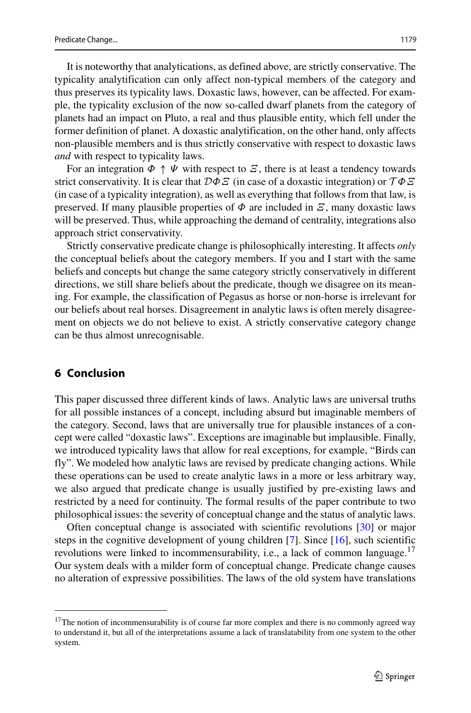It is noteworthy that analytications, as defined above, are strictly conservative. The typicality analytification can only affect non-typical members of the category and thus preserves its typicality laws. Doxastic laws, however, can be affected. For example, the typicality exclusion of the now so-called dwarf planets from the category of planets had an impact on Pluto, a real and thus plausible entity, which fell under the former definition of planet. A doxastic analytification, on the other hand, only affects non-plausible members and is thus strictly conservative with respect to doxastic laws *and* with respect to typicality laws.

For an integration  $\Phi \uparrow \Psi$  with respect to *Ξ*, there is at least a tendency towards strict conservativity. It is clear that D*ΦΞ* (in case of a doxastic integration) or T *ΦΞ* (in case of a typicality integration), as well as everything that follows from that law, is preserved. If many plausible properties of  $\Phi$  are included in  $\mathcal{E}$ , many doxastic laws will be preserved. Thus, while approaching the demand of centrality, integrations also approach strict conservativity.

Strictly conservative predicate change is philosophically interesting. It affects *only* the conceptual beliefs about the category members. If you and I start with the same beliefs and concepts but change the same category strictly conservatively in different directions, we still share beliefs about the predicate, though we disagree on its meaning. For example, the classification of Pegasus as horse or non-horse is irrelevant for our beliefs about real horses. Disagreement in analytic laws is often merely disagreement on objects we do not believe to exist. A strictly conservative category change can be thus almost unrecognisable.

### **6 Conclusion**

This paper discussed three different kinds of laws. Analytic laws are universal truths for all possible instances of a concept, including absurd but imaginable members of the category. Second, laws that are universally true for plausible instances of a concept were called "doxastic laws". Exceptions are imaginable but implausible. Finally, we introduced typicality laws that allow for real exceptions, for example, "Birds can fly". We modeled how analytic laws are revised by predicate changing actions. While these operations can be used to create analytic laws in a more or less arbitrary way, we also argued that predicate change is usually justified by pre-existing laws and restricted by a need for continuity. The formal results of the paper contribute to two philosophical issues: the severity of conceptual change and the status of analytic laws.

Often conceptual change is associated with scientific revolutions [\[30\]](#page-24-0) or major steps in the cognitive development of young children [\[7\]](#page-23-22). Since [\[16\]](#page-23-4), such scientific revolutions were linked to incommensurability, i.e., a lack of common language.<sup>17</sup> Our system deals with a milder form of conceptual change. Predicate change causes no alteration of expressive possibilities. The laws of the old system have translations

<span id="page-20-0"></span> $17$ The notion of incommensurability is of course far more complex and there is no commonly agreed way to understand it, but all of the interpretations assume a lack of translatability from one system to the other system.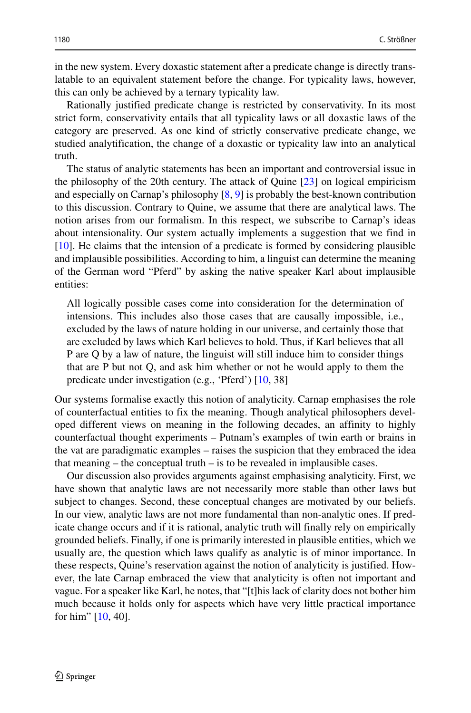in the new system. Every doxastic statement after a predicate change is directly translatable to an equivalent statement before the change. For typicality laws, however, this can only be achieved by a ternary typicality law.

Rationally justified predicate change is restricted by conservativity. In its most strict form, conservativity entails that all typicality laws or all doxastic laws of the category are preserved. As one kind of strictly conservative predicate change, we studied analytification, the change of a doxastic or typicality law into an analytical truth.

The status of analytic statements has been an important and controversial issue in the philosophy of the 20th century. The attack of Quine [\[23\]](#page-23-23) on logical empiricism and especially on Carnap's philosophy [\[8,](#page-23-24) [9\]](#page-23-25) is probably the best-known contribution to this discussion. Contrary to Quine, we assume that there are analytical laws. The notion arises from our formalism. In this respect, we subscribe to Carnap's ideas about intensionality. Our system actually implements a suggestion that we find in [\[10\]](#page-23-26). He claims that the intension of a predicate is formed by considering plausible and implausible possibilities. According to him, a linguist can determine the meaning of the German word "Pferd" by asking the native speaker Karl about implausible entities:

All logically possible cases come into consideration for the determination of intensions. This includes also those cases that are causally impossible, i.e., excluded by the laws of nature holding in our universe, and certainly those that are excluded by laws which Karl believes to hold. Thus, if Karl believes that all P are Q by a law of nature, the linguist will still induce him to consider things that are P but not Q, and ask him whether or not he would apply to them the predicate under investigation (e.g., 'Pferd') [\[10,](#page-23-26) 38]

Our systems formalise exactly this notion of analyticity. Carnap emphasises the role of counterfactual entities to fix the meaning. Though analytical philosophers developed different views on meaning in the following decades, an affinity to highly counterfactual thought experiments – Putnam's examples of twin earth or brains in the vat are paradigmatic examples – raises the suspicion that they embraced the idea that meaning – the conceptual truth – is to be revealed in implausible cases.

Our discussion also provides arguments against emphasising analyticity. First, we have shown that analytic laws are not necessarily more stable than other laws but subject to changes. Second, these conceptual changes are motivated by our beliefs. In our view, analytic laws are not more fundamental than non-analytic ones. If predicate change occurs and if it is rational, analytic truth will finally rely on empirically grounded beliefs. Finally, if one is primarily interested in plausible entities, which we usually are, the question which laws qualify as analytic is of minor importance. In these respects, Quine's reservation against the notion of analyticity is justified. However, the late Carnap embraced the view that analyticity is often not important and vague. For a speaker like Karl, he notes, that "[t]his lack of clarity does not bother him much because it holds only for aspects which have very little practical importance for him"  $[10, 40]$  $[10, 40]$ .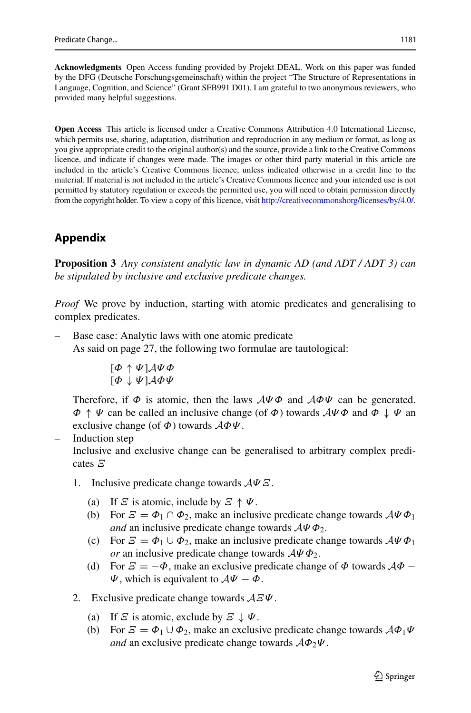**Acknowledgments** Open Access funding provided by Projekt DEAL. Work on this paper was funded by the DFG (Deutsche Forschungsgemeinschaft) within the project "The Structure of Representations in Language, Cognition, and Science" (Grant SFB991 D01). I am grateful to two anonymous reviewers, who provided many helpful suggestions.

**Open Access** This article is licensed under a Creative Commons Attribution 4.0 International License, which permits use, sharing, adaptation, distribution and reproduction in any medium or format, as long as you give appropriate credit to the original author(s) and the source, provide a link to the Creative Commons licence, and indicate if changes were made. The images or other third party material in this article are included in the article's Creative Commons licence, unless indicated otherwise in a credit line to the material. If material is not included in the article's Creative Commons licence and your intended use is not permitted by statutory regulation or exceeds the permitted use, you will need to obtain permission directly from the copyright holder. To view a copy of this licence, visit [http://creativecommonshorg/licenses/by/4.0/.](http://creativecommonshorg/licenses/by/4.0/)

## **Appendix**

**Proposition 3** *Any consistent analytic law in dynamic AD (and ADT / ADT 3) can be stipulated by inclusive and exclusive predicate changes.*

*Proof* We prove by induction, starting with atomic predicates and generalising to complex predicates.

– Base case: Analytic laws with one atomic predicate As said on page 27, the following two formulae are tautological:

$$
\begin{matrix}[\varPhi\,\uparrow\,\psi\,]\mathcal{A}\psi\,\varPhi\\[\varPhi\,\downarrow\,\psi\,]\mathcal{A}\varPhi\psi\end{matrix}
$$

Therefore, if *Φ* is atomic, then the laws A*Ψ Φ* and A*ΦΨ* can be generated. *Φ* ↑ *Ψ* can be called an inclusive change (of *Φ*) towards A*Ψ Φ* and *Φ* ↓ *Ψ* an exclusive change (of *Φ*) towards A*ΦΨ*.

Induction step

Inclusive and exclusive change can be generalised to arbitrary complex predicates *Ξ*

- 1. Inclusive predicate change towards A*Ψ Ξ*.
	- (a) If *Ξ* is atomic, include by  $\mathcal{Z} \uparrow \Psi$ .
	- (b) For  $\mathcal{E} = \Phi_1 \cap \Phi_2$ , make an inclusive predicate change towards  $\mathcal{A} \Psi \Phi_1$ *and* an inclusive predicate change towards  $A\Psi\Phi_2$ .
	- (c) For  $\mathcal{E} = \Phi_1 \cup \Phi_2$ , make an inclusive predicate change towards  $A\Psi \Phi_1$ *or* an inclusive predicate change towards A*Ψ Φ*2.
	- (d) For  $\mathcal{E} = -\Phi$ , make an exclusive predicate change of  $\Phi$  towards  $\mathcal{A}\Phi$  − *Ψ*, which is equivalent to A*Ψ* − *Φ*.
- 2. Exclusive predicate change towards A*ΞΨ*.
	- (a) If *Ξ* is atomic, exclude by  $\mathcal{Z} \downarrow \Psi$ .
	- (b) For  $\mathcal{E} = \Phi_1 \cup \Phi_2$ , make an exclusive predicate change towards  $\mathcal{A}\Phi_1\Psi$ *and* an exclusive predicate change towards A*Φ*2*Ψ*.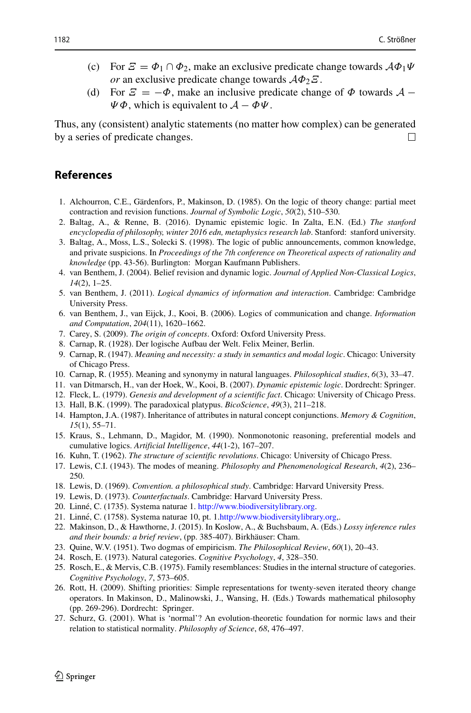- (c) For  $\mathcal{E} = \Phi_1 \cap \Phi_2$ , make an exclusive predicate change towards  $\mathcal{A} \Phi_1 \Psi$ *or* an exclusive predicate change towards A*Φ*2*Ξ*.
- (d) For  $\mathcal{E} = -\Phi$ , make an inclusive predicate change of  $\Phi$  towards  $\mathcal{A}$   $\Psi \Phi$ , which is equivalent to  $A - \Phi \Psi$ .

Thus, any (consistent) analytic statements (no matter how complex) can be generated by a series of predicate changes.  $\Box$ 

### **References**

- <span id="page-23-0"></span>1. Alchourron, C.E., Gärdenfors, P., Makinson, D. (1985). On the logic of theory change: partial meet contraction and revision functions. *Journal of Symbolic Logic*, *50*(2), 510–530.
- <span id="page-23-7"></span>2. Baltag, A., & Renne, B. (2016). Dynamic epistemic logic. In Zalta, E.N. (Ed.) *The stanford encyclopedia of philosophy, winter 2016 edn, metaphysics research lab*. Stanford: stanford university.
- <span id="page-23-2"></span>3. Baltag, A., Moss, L.S., Solecki S. (1998). The logic of public announcements, common knowledge, and private suspicions. In *Proceedings of the 7th conference on Theoretical aspects of rationality and knowledge* (pp. 43-56). Burlington: Morgan Kaufmann Publishers.
- <span id="page-23-12"></span>4. van Benthem, J. (2004). Belief revision and dynamic logic. *Journal of Applied Non-Classical Logics*, *14*(2), 1–25.
- <span id="page-23-6"></span>5. van Benthem, J. (2011). *Logical dynamics of information and interaction*. Cambridge: Cambridge University Press.
- <span id="page-23-8"></span>6. van Benthem, J., van Eijck, J., Kooi, B. (2006). Logics of communication and change. *Information and Computation*, *204*(11), 1620–1662.
- <span id="page-23-22"></span>7. Carey, S. (2009). *The origin of concepts*. Oxford: Oxford University Press.
- <span id="page-23-24"></span>8. Carnap, R. (1928). Der logische Aufbau der Welt. Felix Meiner, Berlin.
- <span id="page-23-25"></span>9. Carnap, R. (1947). *Meaning and necessity: a study in semantics and modal logic*. Chicago: University of Chicago Press.
- <span id="page-23-26"></span>10. Carnap, R. (1955). Meaning and synonymy in natural languages. *Philosophical studies*, *6*(3), 33–47.
- <span id="page-23-5"></span>11. van Ditmarsch, H., van der Hoek, W., Kooi, B. (2007). *Dynamic epistemic logic*. Dordrecht: Springer.
- <span id="page-23-3"></span>12. Fleck, L. (1979). *Genesis and development of a scientific fact*. Chicago: University of Chicago Press.
- <span id="page-23-10"></span>13. Hall, B.K. (1999). The paradoxical platypus. *BicoScience*, *49*(3), 211–218.
- <span id="page-23-15"></span>14. Hampton, J.A. (1987). Inheritance of attributes in natural concept conjunctions. *Memory & Cognition*, *15*(1), 55–71.
- <span id="page-23-14"></span>15. Kraus, S., Lehmann, D., Magidor, M. (1990). Nonmonotonic reasoning, preferential models and cumulative logics. *Artificial Intelligence*, *44*(1-2), 167–207.
- <span id="page-23-4"></span>16. Kuhn, T. (1962). *The structure of scientific revolutions*. Chicago: University of Chicago Press.
- <span id="page-23-9"></span>17. Lewis, C.I. (1943). The modes of meaning. *Philosophy and Phenomenological Research*, *4*(2), 236– 250.
- <span id="page-23-1"></span>18. Lewis, D. (1969). *Convention. a philosophical study*. Cambridge: Harvard University Press.
- <span id="page-23-13"></span>19. Lewis, D. (1973). *Counterfactuals*. Cambridge: Harvard University Press.
- <span id="page-23-20"></span>20. Linné, C. (1735). Systema naturae 1. [http://www.biodiversitylibrary.org.](http://www.biodiversitylibrary.org)
- <span id="page-23-21"></span>21. Linné, C. (1758). Systema naturae 10, pt. 1.[http://www.biodiversitylibrary.org,](http://www.biodiversitylibrary.org).
- <span id="page-23-19"></span>22. Makinson, D., & Hawthorne, J. (2015). In Koslow, A., & Buchsbaum, A. (Eds.) *Lossy inference rules and their bounds: a brief review*, (pp. 385-407). Birkhäuser: Cham.
- <span id="page-23-23"></span>23. Quine, W.V. (1951). Two dogmas of empiricism. *The Philosophical Review*, *60*(1), 20–43.
- <span id="page-23-16"></span>24. Rosch, E. (1973). Natural categories. *Cognitive Psychology*, *4*, 328–350.
- <span id="page-23-17"></span>25. Rosch, E., & Mervis, C.B. (1975). Family resemblances: Studies in the internal structure of categories. *Cognitive Psychology*, *7*, 573–605.
- <span id="page-23-11"></span>26. Rott, H. (2009). Shifting priorities: Simple representations for twenty-seven iterated theory change operators. In Makinson, D., Malinowski, J., Wansing, H. (Eds.) Towards mathematical philosophy (pp. 269-296). Dordrecht: Springer.
- <span id="page-23-18"></span>27. Schurz, G. (2001). What is 'normal'? An evolution-theoretic foundation for normic laws and their relation to statistical normality. *Philosophy of Science*, *68*, 476–497.